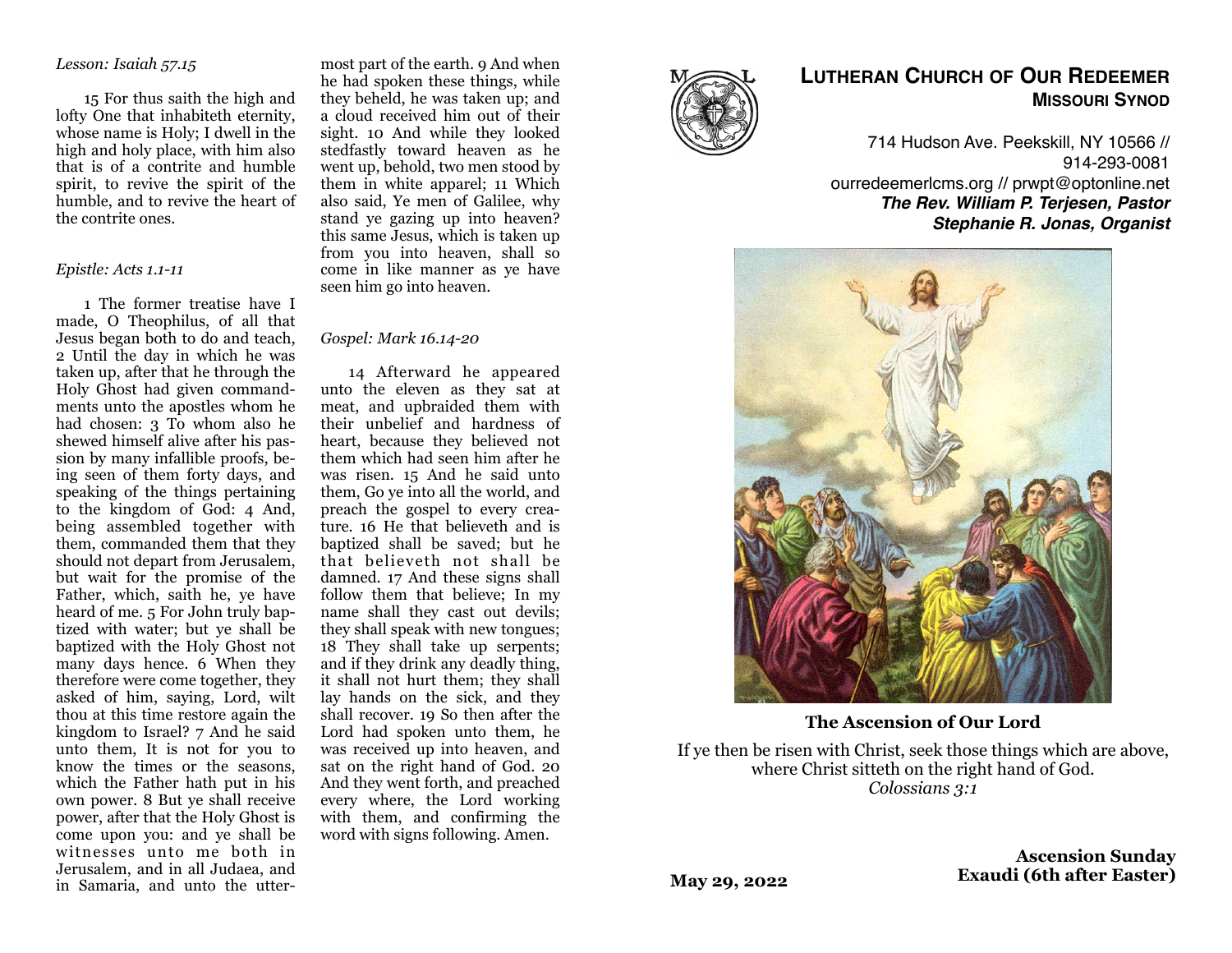### *Lesson: Isaiah 57.15*

15 For thus saith the high and lofty One that inhabiteth eternity, whose name is Holy; I dwell in the high and holy place, with him also that is of a contrite and humble spirit, to revive the spirit of the humble, and to revive the heart of the contrite ones.

#### *Epistle: Acts 1.1-11*

1 The former treatise have I made, O Theophilus, of all that Jesus began both to do and teach, 2 Until the day in which he was taken up, after that he through the Holy Ghost had given commandments unto the apostles whom he had chosen: 3 To whom also he shewed himself alive after his passion by many infallible proofs, being seen of them forty days, and speaking of the things pertaining to the kingdom of God: 4 And, being assembled together with them, commanded them that they should not depart from Jerusalem, but wait for the promise of the Father, which, saith he, ye have heard of me. 5 For John truly baptized with water; but ye shall be baptized with the Holy Ghost not many days hence. 6 When they therefore were come together, they asked of him, saying, Lord, wilt thou at this time restore again the kingdom to Israel? 7 And he said unto them, It is not for you to know the times or the seasons, which the Father hath put in his own power. 8 But ye shall receive power, after that the Holy Ghost is come upon you: and ye shall be witnesses unto me both in Jerusalem, and in all Judaea, and in Samaria, and unto the utter-

most part of the earth. 9 And when he had spoken these things, while they beheld, he was taken up; and a cloud received him out of their sight. 10 And while they looked stedfastly toward heaven as he went up, behold, two men stood by them in white apparel; 11 Which also said, Ye men of Galilee, why stand ye gazing up into heaven? this same Jesus, which is taken up from you into heaven, shall so come in like manner as ye have seen him go into heaven.

#### *Gospel: Mark 16.14-20*

14 Afterward he appeared unto the eleven as they sat at meat, and upbraided them with their unbelief and hardness of heart, because they believed not them which had seen him after he was risen. 15 And he said unto them, Go ye into all the world, and preach the gospel to every creature. 16 He that believeth and is baptized shall be saved; but he that believeth not shall be damned. 17 And these signs shall follow them that believe; In my name shall they cast out devils; they shall speak with new tongues; 18 They shall take up serpents; and if they drink any deadly thing, it shall not hurt them; they shall lay hands on the sick, and they shall recover. 19 So then after the Lord had spoken unto them, he was received up into heaven, and sat on the right hand of God. 20 And they went forth, and preached every where, the Lord working with them, and confirming the word with signs following. Amen.



# **LUTHERAN CHURCH OF OUR REDEEMER MISSOURI SYNOD**

714 Hudson Ave. Peekskill, NY 10566 // 914-293-0081 ourredeemerlcms.org // prwpt@optonline.net *The Rev. William P. Terjesen, Pastor Stephanie R. Jonas, Organist*



**The Ascension of Our Lord**

If ye then be risen with Christ, seek those things which are above, where Christ sitteth on the right hand of God. *Colossians 3:1*

> **Ascension Sunday Exaudi (6th after Easter)**

**May 29, 2022**